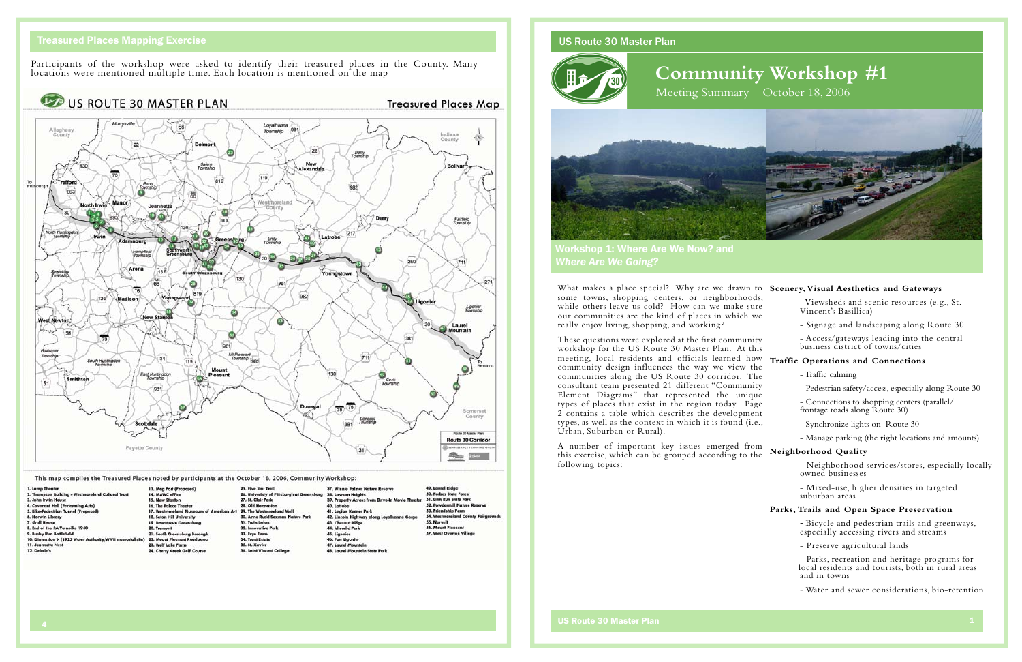### US Route 30 Master Plan





# **Community Workshop #1** Meeting Summary | October 18, 2006

Workshop 1: Where Are We Now? and *Where Are We Going?* 

What makes a place special? Why are we drawn some towns, shopping centers, or neighborhoo while others leave us cold? How can we make su our communities are the kind of places in which really enjoy living, shopping, and working?

A number of important key issues emerged from this exercise, which can be grouped according to following topics:

These questions were explored at the first community workshop for the US Route 30 Master Plan. At this meeting, local residents and officials learned ho community design influences the way we view communities along the US Route 30 corridor. The consultant team presented 21 different "Communi Element Diagrams" that represented the unique types of places that exist in the region today. Page  $2$  contains a table which describes the developme types, as well as the context in which it is found (i. Urban, Suburban or Rural).

| to                           | <b>Scenery, Visual Aesthetics and Gateways</b>                                            |  |  |  |  |
|------------------------------|-------------------------------------------------------------------------------------------|--|--|--|--|
| ds,<br>ure<br>we             | - Viewsheds and scenic resources (e.g., St.<br>Vincent's Basillica)                       |  |  |  |  |
|                              | - Signage and landscaping along Route 30                                                  |  |  |  |  |
| ity<br>his                   | - Access/gateways leading into the central<br>business district of towns/cities           |  |  |  |  |
| ow                           | <b>Traffic Operations and Connections</b>                                                 |  |  |  |  |
| the<br>`he                   | - Traffic calming                                                                         |  |  |  |  |
| ity.                         | - Pedestrian safety/access, especially along Route 30                                     |  |  |  |  |
| <sub>lue</sub><br>ige<br>ent | - Connections to shopping centers (parallel/<br>frontage roads along Route 30)            |  |  |  |  |
| .e.,                         | - Synchronize lights on Route 30                                                          |  |  |  |  |
|                              | - Manage parking (the right locations and amounts)                                        |  |  |  |  |
| эm<br>the                    | Neighborhood Quality                                                                      |  |  |  |  |
|                              | - Neighborhood services/stores, especially locally<br>owned businesses                    |  |  |  |  |
|                              | - Mixed-use, higher densities in targeted<br>suburban areas                               |  |  |  |  |
|                              | Parks, Trails and Open Space Preservation                                                 |  |  |  |  |
|                              | - Bicycle and pedestrian trails and greenways,<br>especially accessing rivers and streams |  |  |  |  |
|                              | - Preserve agricultural lands                                                             |  |  |  |  |
|                              | - Parks, recreation and heritage programs for                                             |  |  |  |  |

local residents and tourists, both in rural areas and in towns

- Water and sewer considerations, bio-retention

## Treasured Places Mapping Exercise

Participants of the workshop were asked to identify their treasured places in the County. Many locations were mentioned multiple time. Each location is mentioned on the map

US ROUTE 30 MASTER PLAN

### **Treasured Places Map**



This map compiles the Treasured Places noted by participants at the October 18, 2006, Community Workshop:

| 1. Lamp Theater                                           | 13. Mag Port (Proposed)                                            | 25. Five Star Trail                        | 37. Winnie Palmer Nature Reserve                                        | 49. Lourel Ridge                           |
|-----------------------------------------------------------|--------------------------------------------------------------------|--------------------------------------------|-------------------------------------------------------------------------|--------------------------------------------|
| 2. Thompson Building - Westmoreland Cultural Trust        | 14. MAWC office                                                    | 26. Univeristy of Pittsburgh at Greensburg | 38. Lawson Heights                                                      | 50. Forbes State Forest                    |
| 3. John Irwin House                                       | 15. New Stanlon                                                    | 27. St. Clair Park                         | 39. Property Across from Drive-In Movie Theater 51. Linn Run State Park |                                            |
| 4. Covenant Hall (Performing Arts)                        | 16. The Palace Theater                                             | 28. Old Hannaston                          | 40. Latrobe                                                             | 52. Powdermill Nature Reserve              |
| 5. Bike-Pedestrian Tunnel (Proposed)                      | 17. Westmoreland Museaum of American Art 29. The Westmoreland Mall |                                            | 41. Legion Keener Park                                                  | 53. Friendship Farm                        |
| 6. Norwin Library                                         | 18. Seton Hill University                                          | 30. Anne Rudd Saxman Nature Park           | 42. Lincoln Highway along Leyalhanna Gorge                              | <b>54. Westmoreland County Fairgrounds</b> |
| 7. Skull House                                            | 19. Downtown Greensburg                                            | 31. Twin Lakes                             | 43. Chesnut Ridge                                                       | 55. Norvelt                                |
| 8. End of the PA Turnpike 1940                            | 20. Trempet                                                        | 32. Innovative Park                        | 44. idlewild Park                                                       | <b>56. Mount Pleasant</b>                  |
| 9. Bushy Run Battlefield                                  | 21. South Greensburg Borough                                       | 33. Frye Ferm                              | 45. Liganier                                                            | <b>57. West Overton Village</b>            |
| 10. Dimension X (1925 Water Authority/WWII memorial site) | 22. Mount Pleasant Road Area                                       | 34. Trent Estate                           | 46. Fort Liponier                                                       |                                            |
| 11. Jeannette Nest                                        | 23. Well Lake Farm                                                 | 35. St. Xavier                             | 47. Laurel Mountain                                                     |                                            |
| 12. Delallo's                                             | 24. Cherry Creek Golf Course                                       | 36. Saint Vincent College                  | <b>48. Laurel Mountain State Park</b>                                   |                                            |
|                                                           |                                                                    |                                            |                                                                         |                                            |